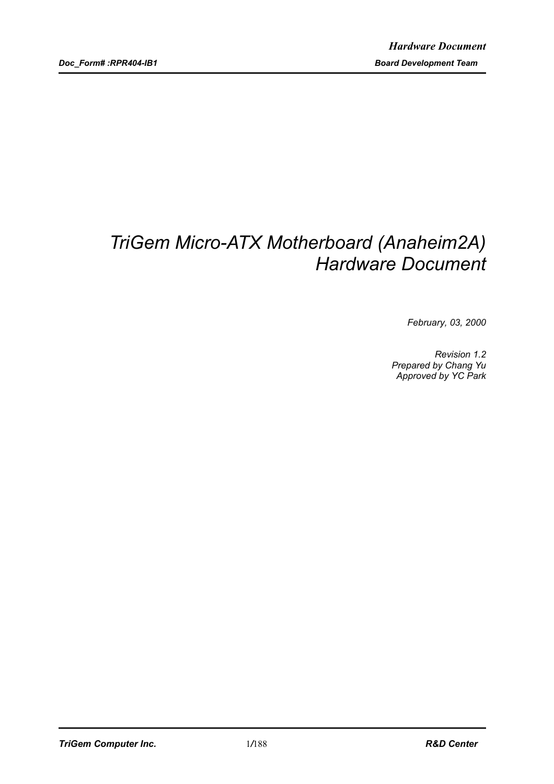# *TriGem Micro-ATX Motherboard (Anaheim2A) Hardware Document*

*February, 03, 2000*

*Revision 1.2 Prepared by Chang Yu Approved by YC Park*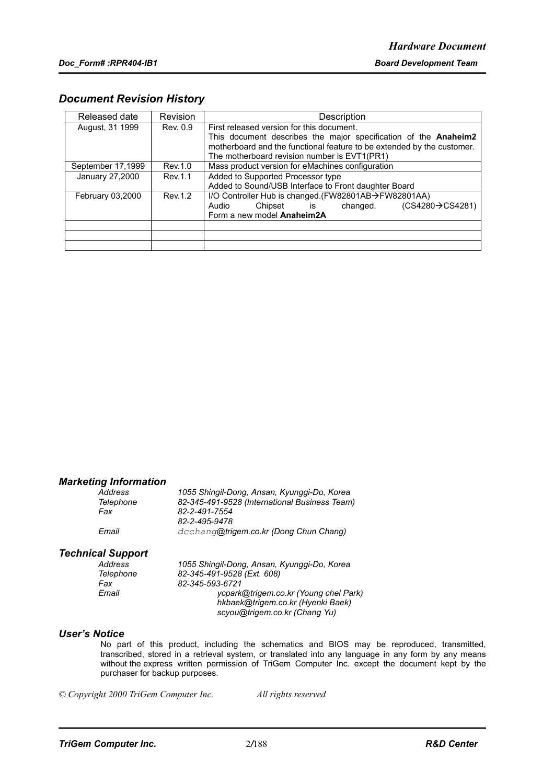### *Document Revision History*

| Released date     | Revision | Description                                                            |  |  |
|-------------------|----------|------------------------------------------------------------------------|--|--|
| August, 31 1999   | Rev. 0.9 | First released version for this document.                              |  |  |
|                   |          | This document describes the major specification of the Anaheim2        |  |  |
|                   |          | motherboard and the functional feature to be extended by the customer. |  |  |
|                   |          | The motherboard revision number is EVT1(PR1)                           |  |  |
| September 17,1999 | Rev.1.0  | Mass product version for eMachines configuration                       |  |  |
| January 27,2000   | Rev.1.1  | Added to Supported Processor type                                      |  |  |
|                   |          | Added to Sound/USB Interface to Front daughter Board                   |  |  |
| February 03,2000  | Rev.1.2  | I/O Controller Hub is changed.(FW82801AB→FW82801AA)                    |  |  |
|                   |          | (CS4280→CS4281)<br>Audio<br>Chipset is<br>changed.                     |  |  |
|                   |          | Form a new model Anaheim2A                                             |  |  |
|                   |          |                                                                        |  |  |
|                   |          |                                                                        |  |  |
|                   |          |                                                                        |  |  |

### *Marketing Information*

| Address   | 1055 Shingil-Dong, Ansan, Kyunggi-Do, Korea   |
|-----------|-----------------------------------------------|
| Telephone | 82-345-491-9528 (International Business Team) |
| Fax       | 82-2-491-7554                                 |
|           | 82-2-495-9478                                 |
| Email     | dcchang@trigem.co.kr (Dong Chun Chang)        |

### *Technical Support*

| Address          | 1055 Shingil-Dong, Ansan, Kyunggi-Do, Korea |
|------------------|---------------------------------------------|
| <b>Telephone</b> | 82-345-491-9528 (Ext. 608)                  |
| Fax              | 82-345-593-6721                             |
| Email            | ycpark@trigem.co.kr (Young chel Park)       |
|                  | hkbaek@trigem.co.kr (Hyenki Baek)           |
|                  | scyou@trigem.co.kr (Chang Yu)               |

### *User's Notice*

No part of this product, including the schematics and BIOS may be reproduced, transmitted, transcribed, stored in a retrieval system, or translated into any language in any form by any means without the express written permission of TriGem Computer Inc. except the document kept by the purchaser for backup purposes.

*© Copyright 2000 TriGem Computer Inc. All rights reserved*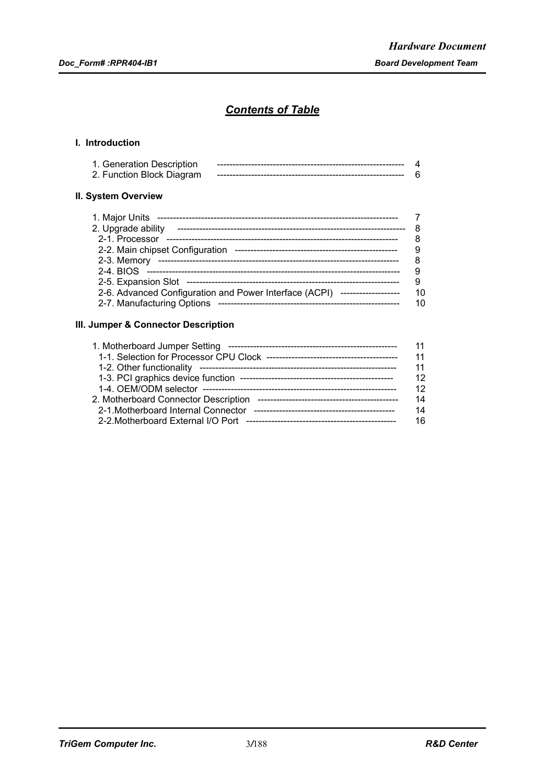# *Contents of Table*

### **I. Introduction**

| 1. Generation Description<br>2. Function Block Diagram |  |
|--------------------------------------------------------|--|
| II. System Overview                                    |  |

| 1. Major Units                                                             |    |
|----------------------------------------------------------------------------|----|
| 2. Upgrade ability                                                         |    |
| 2-1. Processor                                                             |    |
| 2-2. Main chipset Configuration                                            |    |
| 2-3. Memory                                                                |    |
|                                                                            |    |
|                                                                            |    |
| 2-6. Advanced Configuration and Power Interface (ACPI) ------------------- | 10 |
| 2-7. Manufacturing Options                                                 | 10 |

### **III. Jumper & Connector Description**

| 1. Motherboard Jumper Setting       | 11 |
|-------------------------------------|----|
|                                     | 11 |
|                                     | 11 |
|                                     | 12 |
|                                     | 12 |
|                                     | 14 |
| 2-1. Motherboard Internal Connector | 14 |
|                                     | 16 |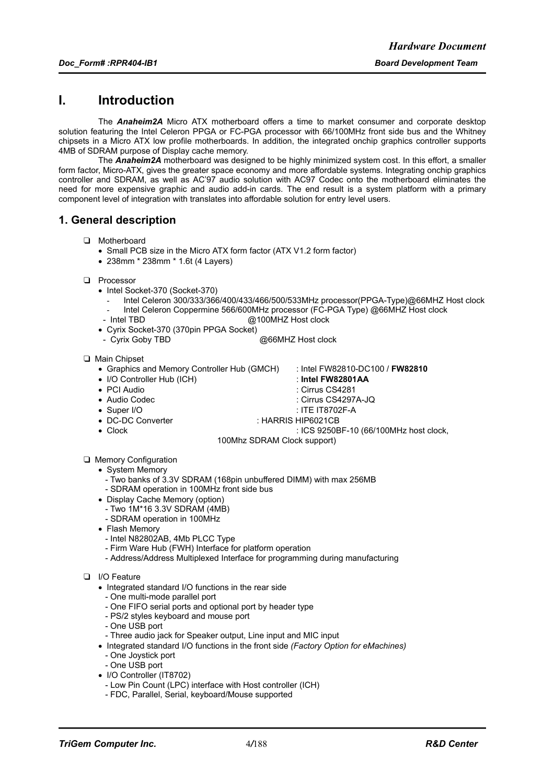# **I. Introduction**

The *Anaheim2A* Micro ATX motherboard offers a time to market consumer and corporate desktop solution featuring the Intel Celeron PPGA or FC-PGA processor with 66/100MHz front side bus and the Whitney chipsets in a Micro ATX low profile motherboards. In addition, the integrated onchip graphics controller supports 4MB of SDRAM purpose of Display cache memory.

The *Anaheim2A* motherboard was designed to be highly minimized system cost. In this effort, a smaller form factor, Micro-ATX, gives the greater space economy and more affordable systems. Integrating onchip graphics controller and SDRAM, as well as AC'97 audio solution with AC97 Codec onto the motherboard eliminates the need for more expensive graphic and audio add-in cards. The end result is a system platform with a primary component level of integration with translates into affordable solution for entry level users.

### **1. General description**

- T Motherboard
	- Small PCB size in the Micro ATX form factor (ATX V1.2 form factor)
	- 238mm \* 238mm \* 1.6t (4 Layers)
- D Processor
	- Intel Socket-370 (Socket-370)
		- Intel Celeron 300/333/366/400/433/466/500/533MHz processor(PPGA-Type)@66MHZ Host clock - Intel Celeron Coppermine 566/600MHz processor (FC-PGA Type) @66MHZ Host clock
	- Intel TBD **@100MHZ** Host clock
	- Cyrix Socket-370 (370pin PPGA Socket)
	- Cyrix Goby TBD @66MHZ Host clock

#### T Main Chipset

- Graphics and Memory Controller Hub (GMCH) : Intel FW82810-DC100 / **FW82810**
- I/O Controller Hub (ICH) : **Intel FW82801AA**
	-
- PCI Audio : Cirrus CS4281
- Audio Codec : Cirrus CS4297A-JQ
- Super I/O : ITE IT8702F-A
- 
- 
- DC-DC Converter : HARRIS HIP6021CB
- 
- Clock : ICS 9250BF-10 (66/100MHz host clock,
	- 100Mhz SDRAM Clock support)
- **Q** Memory Configuration
	- System Memory
		- Two banks of 3.3V SDRAM (168pin unbuffered DIMM) with max 256MB - SDRAM operation in 100MHz front side bus
	- Display Cache Memory (option)
		- Two 1M\*16 3.3V SDRAM (4MB)
		- SDRAM operation in 100MHz
	- Flash Memory
		- Intel N82802AB, 4Mb PLCC Type
		- Firm Ware Hub (FWH) Interface for platform operation
		- Address/Address Multiplexed Interface for programming during manufacturing

#### D I/O Feature

- Integrated standard I/O functions in the rear side
- One multi-mode parallel port
- One FIFO serial ports and optional port by header type
- PS/2 styles keyboard and mouse port
- One USB port
- Three audio jack for Speaker output, Line input and MIC input
- Integrated standard I/O functions in the front side *(Factory Option for eMachines)*
- One Joystick port
- One USB port
- I/O Controller (IT8702)
	- Low Pin Count (LPC) interface with Host controller (ICH)
	- FDC, Parallel, Serial, keyboard/Mouse supported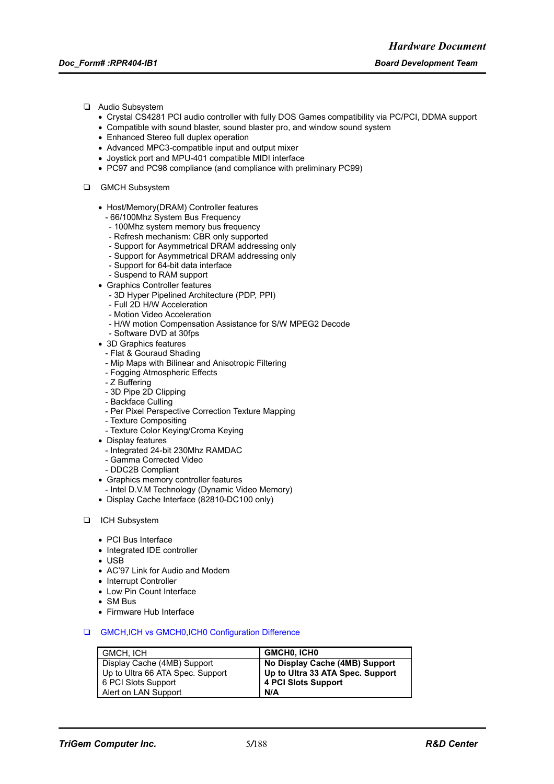- T Audio Subsystem
	- Crystal CS4281 PCI audio controller with fully DOS Games compatibility via PC/PCI, DDMA support
	- Compatible with sound blaster, sound blaster pro, and window sound system
	- Enhanced Stereo full duplex operation
	- Advanced MPC3-compatible input and output mixer
	- Joystick port and MPU-401 compatible MIDI interface
	- PC97 and PC98 compliance (and compliance with preliminary PC99)
- **Q** GMCH Subsystem
	- Host/Memory(DRAM) Controller features
		- 66/100Mhz System Bus Frequency
		- 100Mhz system memory bus frequency
		- Refresh mechanism: CBR only supported
		- Support for Asymmetrical DRAM addressing only
		- Support for Asymmetrical DRAM addressing only
		- Support for 64-bit data interface
		- Suspend to RAM support
	- Graphics Controller features
		- 3D Hyper Pipelined Architecture (PDP, PPI)
		- Full 2D H/W Acceleration
		- Motion Video Acceleration
		- H/W motion Compensation Assistance for S/W MPEG2 Decode
		- Software DVD at 30fps
	- 3D Graphics features
		- Flat & Gouraud Shading
		- Mip Maps with Bilinear and Anisotropic Filtering
		- Fogging Atmospheric Effects
		- Z Buffering
		- 3D Pipe 2D Clipping
		- Backface Culling
		- Per Pixel Perspective Correction Texture Mapping
		- Texture Compositing
		- Texture Color Keying/Croma Keying
	- Display features
		- Integrated 24-bit 230Mhz RAMDAC
		- Gamma Corrected Video
		- DDC2B Compliant
	- Graphics memory controller features
	- Intel D.V.M Technology (Dynamic Video Memory)
	- Display Cache Interface (82810-DC100 only)
- **D** ICH Subsystem
	- PCI Bus Interface
	- Integrated IDE controller
	- $\cdot$  USB
	- AC'97 Link for Audio and Modem
	- Interrupt Controller
	- Low Pin Count Interface
	- SM Bus
	- Firmware Hub Interface
- **Q** GMCH, ICH vs GMCH0, ICH0 Configuration Difference

| GMCH. ICH                        | <b>GMCHO, ICHO</b>               |
|----------------------------------|----------------------------------|
| Display Cache (4MB) Support      | No Display Cache (4MB) Support   |
| Up to Ultra 66 ATA Spec. Support | Up to Ultra 33 ATA Spec. Support |
| 6 PCI Slots Support              | 4 PCI Slots Support              |
| Alert on LAN Support             | N/A                              |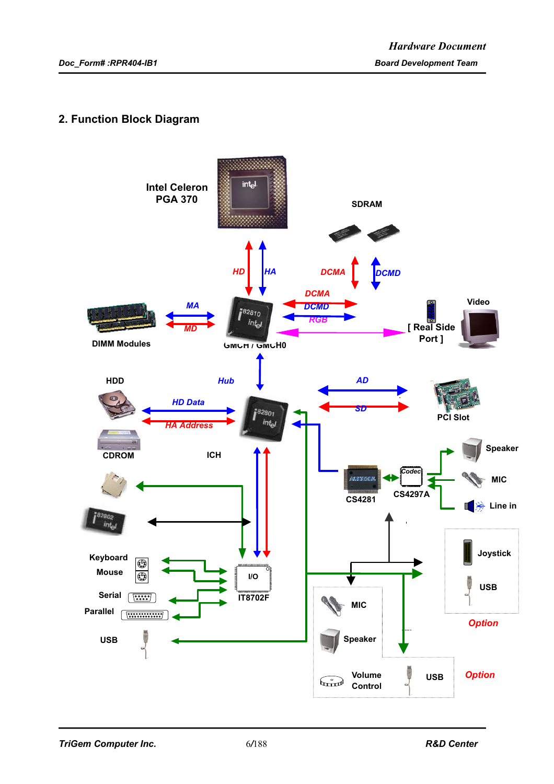# **2. Function Block Diagram**

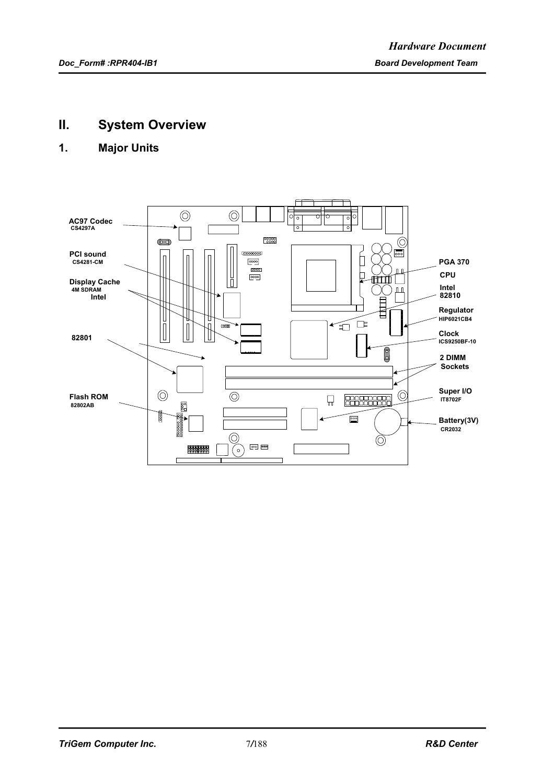# **II. System Overview**

# **1. Major Units**

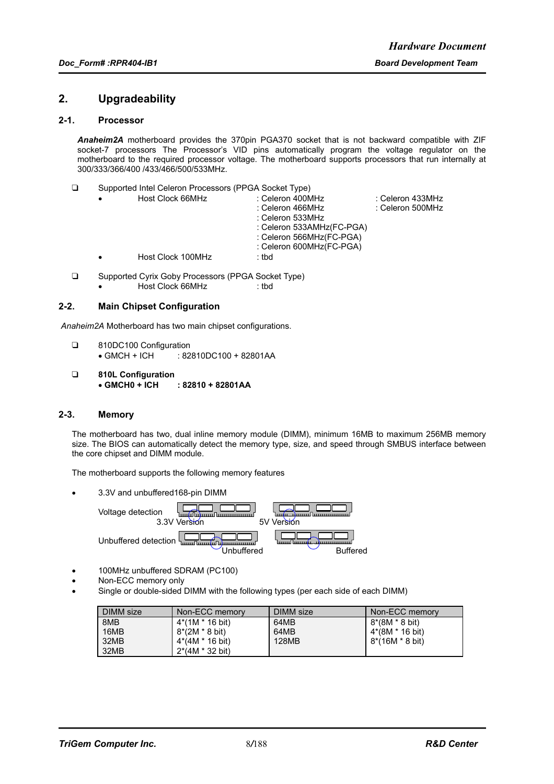### **2. Upgradeability**

### **2-1. Processor**

*Anaheim2A* motherboard provides the 370pin PGA370 socket that is not backward compatible with ZIF socket-7 processors The Processor's VID pins automatically program the voltage regulator on the motherboard to the required processor voltage. The motherboard supports processors that run internally at 300/333/366/400 /433/466/500/533MHz.

T Supported Intel Celeron Processors (PPGA Socket Type)

|  | Host Clock 66MHz  | : Celeron 400MHz          | : Celeron 433MHz |
|--|-------------------|---------------------------|------------------|
|  |                   | : Celeron 466MHz          | ∶ Celeron 500MHz |
|  |                   | : Celeron 533MHz          |                  |
|  |                   | : Celeron 533AMHz(FC-PGA) |                  |
|  |                   | : Celeron 566MHz(FC-PGA)  |                  |
|  |                   | : Celeron 600MHz(FC-PGA)  |                  |
|  | Host Clock 100MHz | : tbd                     |                  |
|  |                   |                           |                  |

- □ Supported Cyrix Goby Processors (PPGA Socket Type) • Host Clock 66MHz : tbd
	-

### **2-2. Main Chipset Configuration**

*Anaheim2A* Motherboard has two main chipset configurations.

- □ 810DC100 Configuration • GMCH + ICH : 82810DC100 + 82801AA
- T **810L Configuration**  $: 82810 + 82801AA$

### **2-3. Memory**

The motherboard has two, dual inline memory module (DIMM), minimum 16MB to maximum 256MB memory size. The BIOS can automatically detect the memory type, size, and speed through SMBUS interface between the core chipset and DIMM module.

The motherboard supports the following memory features

• 3.3V and unbuffered168-pin DIMM

Voltage detection 3.3V Version 5V Version Unbuffered detection а<br>ппі Unbuffered Buffered

- 100MHz unbuffered SDRAM (PC100)
- Non-ECC memory only
- Single or double-sided DIMM with the following types (per each side of each DIMM)

| DIMM size | Non-ECC memory            | DIMM size | Non-ECC memory           |
|-----------|---------------------------|-----------|--------------------------|
| 8MB       | $4*(1M * 16 \text{ bit})$ | 64MB      | $8*(8M * 8 \text{ bit})$ |
| 16MB      | $8*(2M * 8 \text{ bit})$  | 64MB      | 4*(8M * 16 bit)          |
| 32MB      | 4*(4M * 16 bit)           | 128MB     | 8*(16M * 8 bit)          |
| 32MB      | $2*(4M * 32 \text{ bit})$ |           |                          |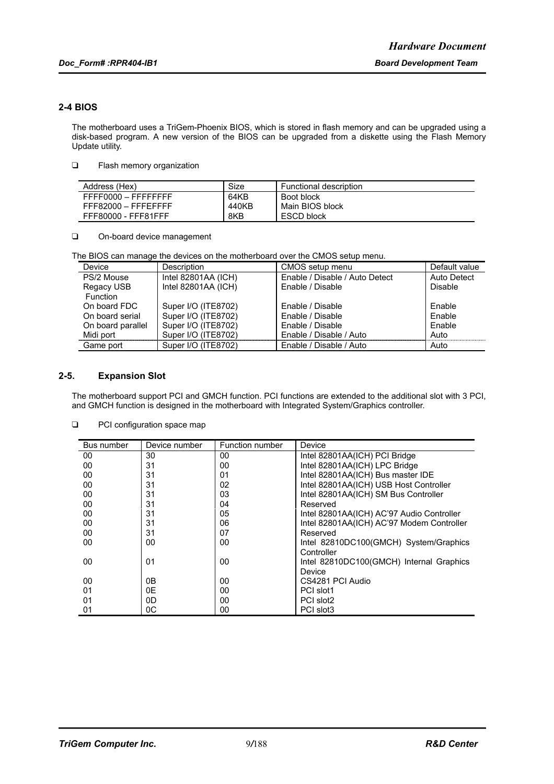### **2-4 BIOS**

The motherboard uses a TriGem-Phoenix BIOS, which is stored in flash memory and can be upgraded using a disk-based program. A new version of the BIOS can be upgraded from a diskette using the Flash Memory Update utility.

**T** Flash memory organization

| Address (Hex)       | Size  | Functional description |
|---------------------|-------|------------------------|
| FFFF0000 - FFFFFFFF | 64KB  | Boot block             |
| FFF82000 - FFFEFFFF | 440KB | Main BIOS block        |
| FFF80000 - FFF81FFF | 8KB   | ESCD block             |

On-board device management

The BIOS can manage the devices on the motherboard over the CMOS setup menu.

| Device            | Description         | CMOS setup menu                | Default value |
|-------------------|---------------------|--------------------------------|---------------|
| PS/2 Mouse        | Intel 82801AA (ICH) | Enable / Disable / Auto Detect | Auto Detect   |
| Regacy USB        | Intel 82801AA (ICH) | Enable / Disable               | Disable       |
| <b>Function</b>   |                     |                                |               |
| On board FDC      | Super I/O (ITE8702) | Enable / Disable               | Enable        |
| On board serial   | Super I/O (ITE8702) | Enable / Disable               | Enable        |
| On board parallel | Super I/O (ITE8702) | Enable / Disable               | Enable        |
| Midi port         | Super I/O (ITE8702) | Enable / Disable / Auto        | Auto          |
| Game port         | Super I/O (ITE8702) | Enable / Disable / Auto        | Auto          |

### **2-5. Expansion Slot**

The motherboard support PCI and GMCH function. PCI functions are extended to the additional slot with 3 PCI, and GMCH function is designed in the motherboard with Integrated System/Graphics controller.

| Bus number | Device number | Function number | Device                                    |
|------------|---------------|-----------------|-------------------------------------------|
| 00         | 30            | 00              | Intel 82801AA(ICH) PCI Bridge             |
| 00         | 31            | 00              | Intel 82801AA(ICH) LPC Bridge             |
| 00         | 31            | 01              | Intel 82801AA(ICH) Bus master IDE         |
| 00         | 31            | 02              | Intel 82801AA(ICH) USB Host Controller    |
| 00         | 31            | 03              | Intel 82801AA(ICH) SM Bus Controller      |
| 00         | 31            | 04              | Reserved                                  |
| 00         | 31            | 05              | Intel 82801AA(ICH) AC'97 Audio Controller |
| 00         | 31            | 06              | Intel 82801AA(ICH) AC'97 Modem Controller |
| 00         | 31            | 07              | Reserved                                  |
| 00         | 00            | 00              | Intel 82810DC100(GMCH) System/Graphics    |
|            |               |                 | Controller                                |
| 00         | 01            | 00              | Intel 82810DC100(GMCH) Internal Graphics  |
|            |               |                 | Device                                    |
| 00         | 0В            | 00              | CS4281 PCI Audio                          |
| 01         | 0E            | 00              | PCI slot1                                 |
| 01         | 0D            | 00              | PCI slot2                                 |
| 01         | 0C            | 00              | PCI slot3                                 |

### **D** PCI configuration space map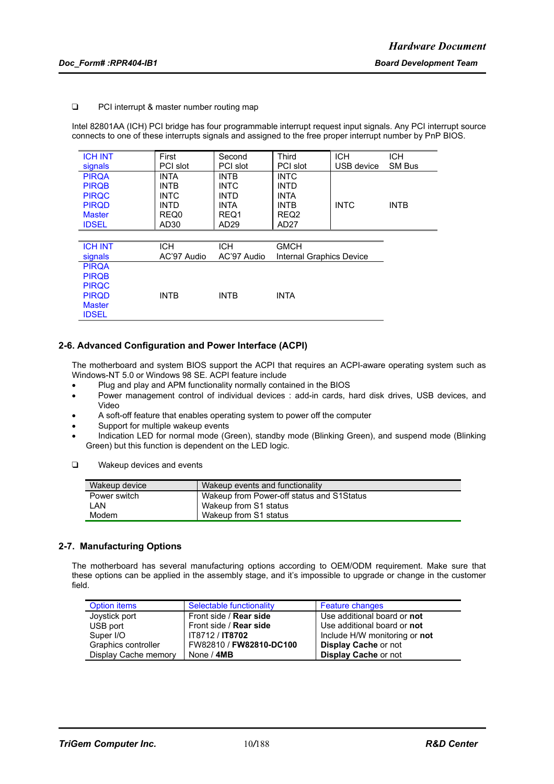#### □ PCI interrupt & master number routing map

Intel 82801AA (ICH) PCI bridge has four programmable interrupt request input signals. Any PCI interrupt source connects to one of these interrupts signals and assigned to the free proper interrupt number by PnP BIOS.

| <b>ICH INT</b> | First            | Second      | Third                    | <b>ICH</b>  | <b>ICH</b>  |
|----------------|------------------|-------------|--------------------------|-------------|-------------|
| signals        | PCI slot         | PCI slot    | PCI slot                 | USB device  | SM Bus      |
| <b>PIRQA</b>   | <b>INTA</b>      | <b>INTB</b> | <b>INTC</b>              |             |             |
| <b>PIRQB</b>   | <b>INTB</b>      | <b>INTC</b> | <b>INTD</b>              |             |             |
| <b>PIRQC</b>   | <b>INTC</b>      | <b>INTD</b> | <b>INTA</b>              |             |             |
| <b>PIRQD</b>   | <b>INTD</b>      | <b>INTA</b> | <b>INTB</b>              | <b>INTC</b> | <b>INTB</b> |
| <b>Master</b>  | REQ0             | REQ1        | REQ <sub>2</sub>         |             |             |
| <b>IDSEL</b>   | AD <sub>30</sub> | AD29        | AD27                     |             |             |
|                |                  |             |                          |             |             |
| <b>ICH INT</b> | <b>ICH</b>       | <b>ICH</b>  | <b>GMCH</b>              |             |             |
| signals        | AC'97 Audio      | AC'97 Audio | Internal Graphics Device |             |             |
| <b>PIRQA</b>   |                  |             |                          |             |             |
| <b>PIRQB</b>   |                  |             |                          |             |             |
| <b>PIRQC</b>   |                  |             |                          |             |             |
| <b>PIRQD</b>   | <b>INTB</b>      | <b>INTB</b> | <b>INTA</b>              |             |             |
| <b>Master</b>  |                  |             |                          |             |             |
| <b>IDSEL</b>   |                  |             |                          |             |             |

### **2-6. Advanced Configuration and Power Interface (ACPI)**

The motherboard and system BIOS support the ACPI that requires an ACPI-aware operating system such as Windows-NT 5.0 or Windows 98 SE. ACPI feature include

- Plug and play and APM functionality normally contained in the BIOS
- Power management control of individual devices : add-in cards, hard disk drives, USB devices, and Video
- A soft-off feature that enables operating system to power off the computer
- Support for multiple wakeup events
- Indication LED for normal mode (Green), standby mode (Blinking Green), and suspend mode (Blinking Green) but this function is dependent on the LED logic.
- $\Box$  Wakeup devices and events

| Wakeup device | Wakeup events and functionality           |
|---------------|-------------------------------------------|
| Power switch  | Wakeup from Power-off status and S1Status |
| I AN          | Wakeup from S1 status                     |
| Modem         | Wakeup from S1 status                     |

### **2-7. Manufacturing Options**

The motherboard has several manufacturing options according to OEM/ODM requirement. Make sure that these options can be applied in the assembly stage, and it's impossible to upgrade or change in the customer field.

| Option items         | Selectable functionality      | <b>Feature changes</b>        |
|----------------------|-------------------------------|-------------------------------|
| Joystick port        | Front side / <b>Rear side</b> | Use additional board or not   |
| USB port             | Front side / <b>Rear side</b> | Use additional board or not   |
| Super I/O            | IT8712 / <b>IT8702</b>        | Include H/W monitoring or not |
| Graphics controller  | FW82810 / FW82810-DC100       | Display Cache or not          |
| Display Cache memory | None / 4MB                    | <b>Display Cache or not</b>   |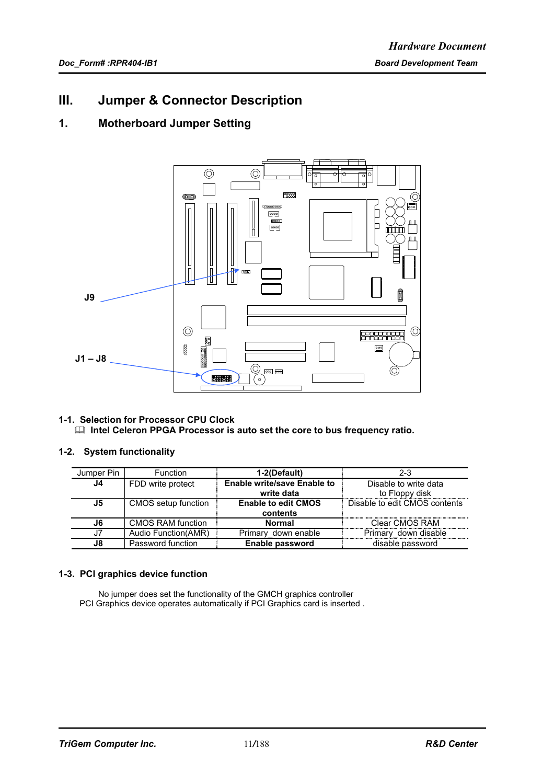# **III. Jumper & Connector Description**

# **1. Motherboard Jumper Setting**



### **1-1. Selection for Processor CPU Clock EXECTE CELET INTERS PROCESS IS AUTOMOBILE IN A INC.** Intel Celeron PPGA Processor is auto set the core to bus frequency ratio.

### **1-2. System functionality**

| Jumper Pin | Function             | 1-2(Default)                       | $2 - 3$                       |
|------------|----------------------|------------------------------------|-------------------------------|
| J4         | FDD write protect    | <b>Enable write/save Enable to</b> | Disable to write data         |
|            |                      | write data                         | to Floppy disk                |
| J5         | CMOS setup function  | <b>Enable to edit CMOS</b>         | Disable to edit CMOS contents |
|            |                      | contents                           |                               |
| . 16       | CMOS RAM function    | <b>Normal</b>                      | Clear CMOS RAM                |
|            | Audio Function (AMR) | Primary down enable                | Primary down disable          |
| J8.        | Password function    | Enable password                    | disable password              |

### **1-3. PCI graphics device function**

No jumper does set the functionality of the GMCH graphics controller PCI Graphics device operates automatically if PCI Graphics card is inserted .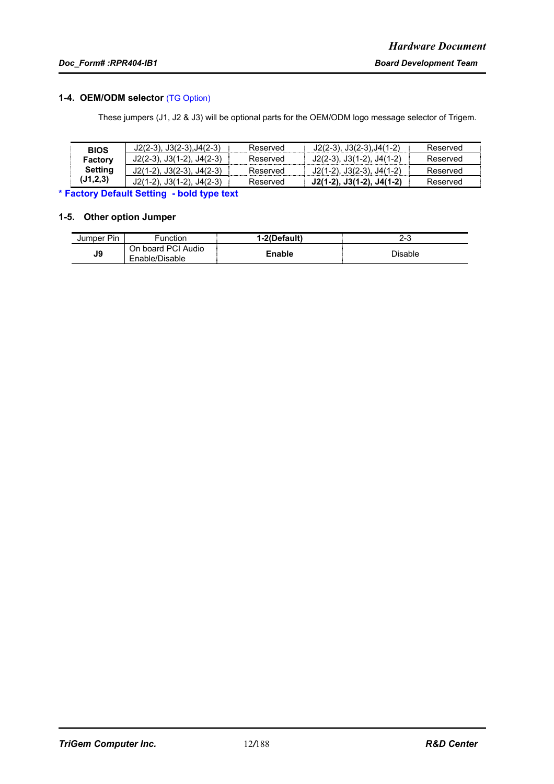### **1-4. OEM/ODM selector** (TG Option)

These jumpers (J1, J2 & J3) will be optional parts for the OEM/ODM logo message selector of Trigem.

| <b>BIOS</b>    | $J2(2-3)$ , $J3(2-3)$ , $J4(2-3)$ | Reserved | $J2(2-3), J3(2-3), J4(1-2)$       | Reserved |
|----------------|-----------------------------------|----------|-----------------------------------|----------|
| Factory        | $J2(2-3)$ , $J3(1-2)$ , $J4(2-3)$ | Reserved | $J2(2-3)$ , $J3(1-2)$ , $J4(1-2)$ | Reserved |
| <b>Setting</b> | $J2(1-2)$ , $J3(2-3)$ , $J4(2-3)$ | Reserved | J2(1-2), J3(2-3), J4(1-2)         | Reserved |
| (J1,2,3)       | $J2(1-2)$ , $J3(1-2)$ , $J4(2-3)$ | Reserved | J2(1-2), J3(1-2), J4(1-2)         | Reserved |

**\* Factory Default Setting - bold type text**

### **1-5. Other option Jumper**

| Jumper Pin | Function                             | l-2(Default) | <u>_</u><br>د-∠ |
|------------|--------------------------------------|--------------|-----------------|
| J9         | On board PCI Audio<br>Enable/Disable | Enable       | Disable         |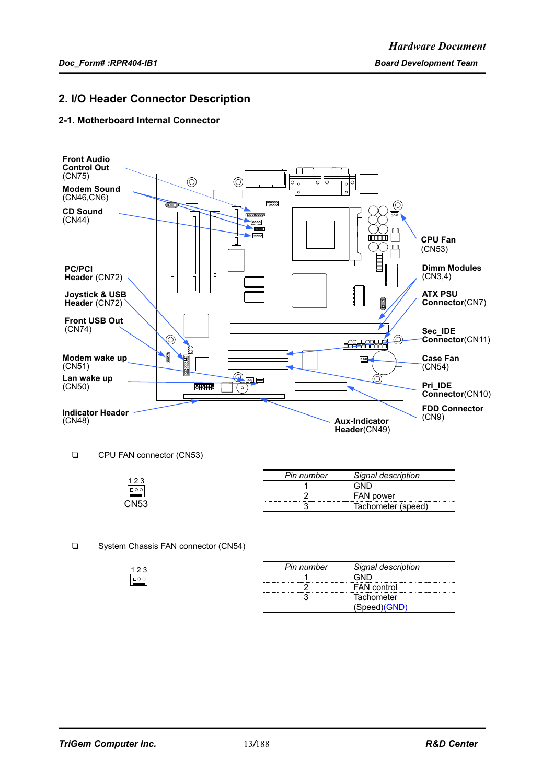### **2. I/O Header Connector Description**

### **2-1. Motherboard Internal Connector**



CPU FAN connector (CN53)

 $\frac{123}{\Box\circ\circ}$ 

|                | Pin number                                     | Signal description    |
|----------------|------------------------------------------------|-----------------------|
| $\Box$ $\circ$ | ---------------------                          |                       |
|                | ------------------<br>------------------------ | FAN power             |
| `NI53          |                                                | Tachometer<br>(speed) |

#### □ System Chassis FAN connector (CN54)

| Pin number | Signal description       |
|------------|--------------------------|
|            |                          |
|            | <b>FAN</b> control       |
|            | Tachometer               |
|            | ,Speed)(GND <sup>)</sup> |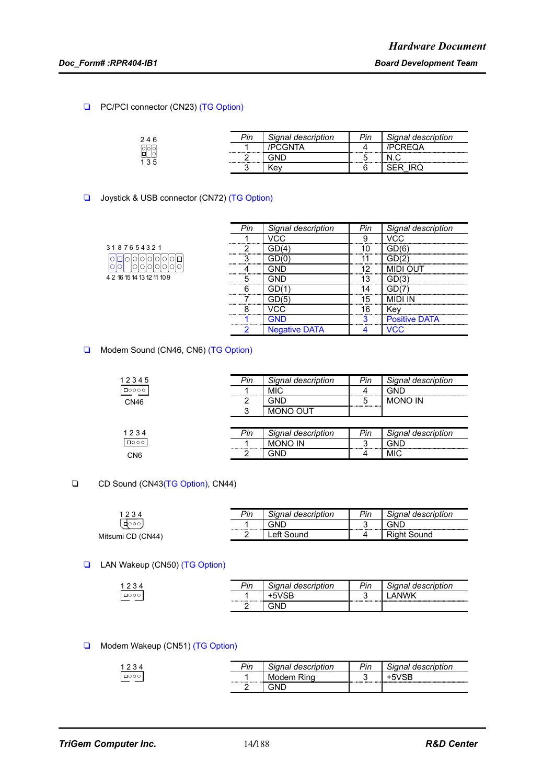### □ PC/PCI connector (CN23) (TG Option)

| 246                | יים | Signal description | חוי | <b>Signal description</b> |
|--------------------|-----|--------------------|-----|---------------------------|
| relok              |     |                    |     |                           |
| <b>l</b> ol<br>135 |     |                    |     | ----------                |
|                    |     | ۰e۷                |     |                           |

### □ Joystick & USB connector (CN72) (TG Option)

|                            | Pin | Signal description     | Pin | Signal description |
|----------------------------|-----|------------------------|-----|--------------------|
|                            |     |                        | a   |                    |
| 3187654321                 |     | .                      | 10  |                    |
|                            |     | ---------------------- |     |                    |
|                            |     | -----------            | ィウ  |                    |
| 4 2 16 15 14 13 12 11 10 9 |     | -------------          | 3   |                    |
|                            |     |                        |     |                    |
|                            |     | .<br>--------------    | 15  |                    |
|                            |     | nn                     | 16  | Kev                |
|                            |     |                        | о   | eitive             |
|                            | ◠   | <b>Negative DATA</b>   |     |                    |

### Modem Sound (CN46, CN6) (TG Option)

| 12345           | Pin | Signal description | Pin | Signal description |
|-----------------|-----|--------------------|-----|--------------------|
| $\Box$ 0000     |     | <b>MIC</b>         |     | GND                |
| <b>CN46</b>     |     | חות                | 5   | <b>MONO IN</b>     |
|                 | ິ   | MONO OUT           |     |                    |
|                 |     |                    |     |                    |
| 1234            | Pin | Signal description | Pin | Signal description |
| $\Box$ 000      |     | <b>MONO IN</b>     |     | GND                |
| CN <sub>6</sub> |     | GND                |     | <b>MIC</b>         |
|                 |     |                    |     |                    |

### □ CD Sound (CN43(TG Option), CN44)

| 1234              | Pin | Signal description            | Pin              | Signal description |
|-------------------|-----|-------------------------------|------------------|--------------------|
| 10001             |     | GND<br>---------------------- | ົ<br>. .<br><br> | GND                |
| Mitsumi CD (CN44) |     | Left Sound                    | д                | Riaht Sound        |
|                   |     |                               |                  |                    |

### **T** LAN Wakeup (CN50) (TG Option)

| 1 2 2 | Pin | Signal description | Pin | Signal description |
|-------|-----|--------------------|-----|--------------------|
| 0000  |     | +5VSB              |     | NW/k               |
|       |     |                    |     |                    |

### Modem Wakeup (CN51) (TG Option)

|            | Din<br>ווי | aescrii  | Pin | m <sub>n</sub><br>aesci |
|------------|------------|----------|-----|-------------------------|
| $\Box$ 000 |            | $\cdots$ | ◡   |                         |
|            |            |          |     |                         |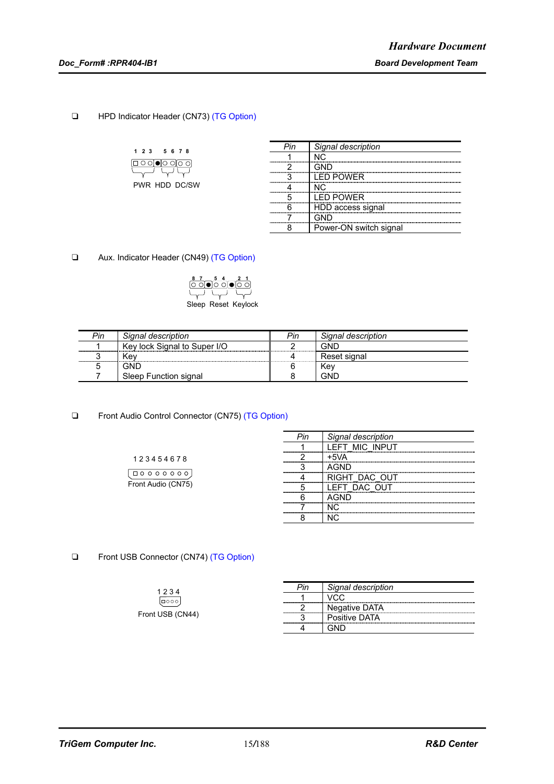### **THPD Indicator Header (CN73) (TG Option)**

| 23 | 5 6 7 8        |  |
|----|----------------|--|
|    | □○○[●[○ ○[○ ○] |  |
|    | ∽              |  |
|    | PWR HDD DC/SW  |  |

| Signal description     |
|------------------------|
|                        |
|                        |
| I FD POWFR             |
|                        |
| I ED POWER             |
| HDD access signal      |
|                        |
| Power-ON switch signal |

□ Aux. Indicator Header (CN49) (TG Option)

| <u>ီ 7 ⊃် 4 ⊇ 2 1</u><br> ଠ ଠା● ଠ ଠା● ଠ ଠା |                     |
|--------------------------------------------|---------------------|
| $\overline{\phantom{a}}$                   |                     |
|                                            | Sleep Reset Keylock |
|                                            |                     |

| Pin | Signal description           | Pin | Signal description |
|-----|------------------------------|-----|--------------------|
|     | Key lock Signal to Super I/O |     | GND                |
|     | .≺ev                         |     | ⊀eset sıɑnal       |
|     | GNF                          |     | Kev                |
|     | Sleep Function signal        |     | GND                |

□ Front Audio Control Connector (CN75) (TG Option)

|                                                                               | חוך | aesc           |
|-------------------------------------------------------------------------------|-----|----------------|
|                                                                               |     | EFT MIC INPUT. |
| 123454678                                                                     |     |                |
|                                                                               |     |                |
| $\Box$ $\circ$ $\circ$<br>$\circ$ $\circ$<br>$\Omega$<br>$\Omega$<br>$\Omega$ |     | IGHT DAC OUT   |
| Front Audio (CN75)                                                            |     | DAC OUT        |
|                                                                               |     |                |
|                                                                               |     |                |
|                                                                               |     |                |
|                                                                               |     |                |

□ Front USB Connector (CN74) (TG Option)

| 1234             | Pin | Signal description |
|------------------|-----|--------------------|
| l⊡ooo            |     |                    |
|                  |     | Negative DATA      |
| Front USB (CN44) |     | Positive DATA      |
|                  |     |                    |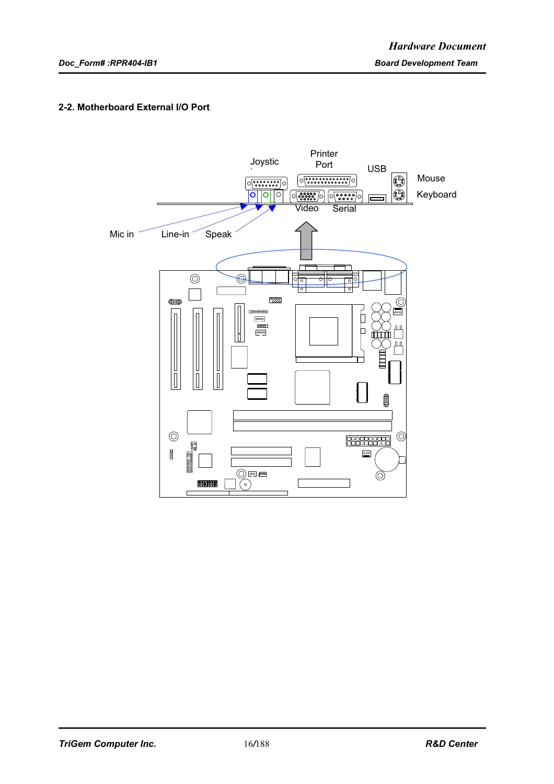### **2-2. Motherboard External I/O Port**

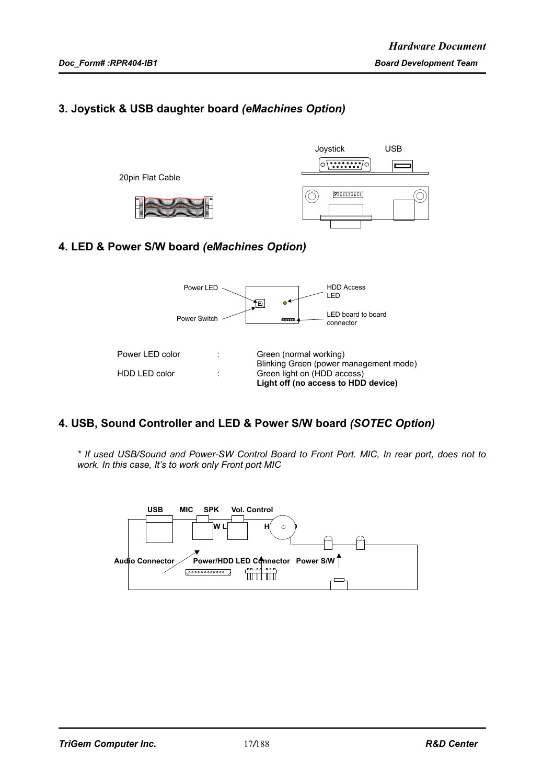# **3. Joystick & USB daughter board** *(eMachines Option)*



# **4. LED & Power S/W board** *(eMachines Option)*



# **4. USB, Sound Controller and LED & Power S/W board** *(SOTEC Option)*

*\* If used USB/Sound and Power-SW Control Board to Front Port. MIC, In rear port, does not to work. In this case, It's to work only Front port MIC*